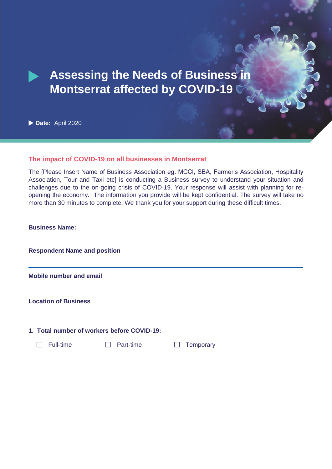# **Assessing the Needs of Business in Montserrat affected by COVID-19**

**Date:** April 2020

## **The impact of COVID-19 on all businesses in Montserrat**

The [Please Insert Name of Business Association eg. MCCI, SBA, Farmer's Association, Hospitality Association, Tour and Taxi etc] is conducting a Business survey to understand your situation and challenges due to the on-going crisis of COVID-19. Your response will assist with planning for reopening the economy. The information you provide will be kept confidential. The survey will take no more than 30 minutes to complete. We thank you for your support during these difficult times.

| <b>Business Name:</b> |
|-----------------------|
|-----------------------|

| <b>Respondent Name and position</b>         |           |                            |  |  |  |
|---------------------------------------------|-----------|----------------------------|--|--|--|
| <b>Mobile number and email</b>              |           |                            |  |  |  |
| <b>Location of Business</b>                 |           |                            |  |  |  |
| 1. Total number of workers before COVID-19: |           |                            |  |  |  |
| Full-time                                   | Part-time | Temporary<br>$\mathcal{L}$ |  |  |  |
|                                             |           |                            |  |  |  |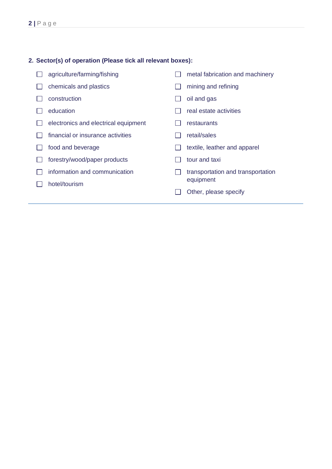### **2. Sector(s) of operation (Please tick all relevant boxes):**

□ agriculture/farming/fishing  $\Box$  chemicals and plastics  $\Box$  construction  $\Box$  education  $\Box$  electronics and electrical equipment  $\Box$  financial or insurance activities  $\Box$  food and beverage □ forestry/wood/paper products  $\Box$  information and communication  $\Box$  hotel/tourism  $\Box$  metal fabrication and machinery  $\Box$  mining and refining  $\Box$  oil and gas  $\Box$  real estate activities  $\Box$  restaurants  $\Box$  retail/sales  $\Box$  textile, leather and apparel  $\Box$  tour and taxi  $\Box$  transportation and transportation equipment  $\Box$  Other, please specify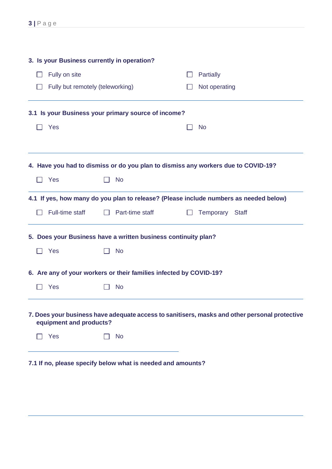|               | 3. Is your Business currently in operation? |  |                                                                    |               |                                                                                               |
|---------------|---------------------------------------------|--|--------------------------------------------------------------------|---------------|-----------------------------------------------------------------------------------------------|
| Fully on site |                                             |  |                                                                    |               | Partially                                                                                     |
|               | Fully but remotely (teleworking)            |  |                                                                    | Not operating |                                                                                               |
|               |                                             |  | 3.1 Is your Business your primary source of income?                |               |                                                                                               |
|               | Yes                                         |  |                                                                    |               | <b>No</b>                                                                                     |
|               |                                             |  |                                                                    |               |                                                                                               |
|               |                                             |  |                                                                    |               | 4. Have you had to dismiss or do you plan to dismiss any workers due to COVID-19?             |
|               | Yes                                         |  | <b>No</b>                                                          |               |                                                                                               |
|               |                                             |  |                                                                    |               | 4.1 If yes, how many do you plan to release? (Please include numbers as needed below)         |
|               | Full-time staff                             |  | Part-time staff                                                    |               | Temporary<br>Staff                                                                            |
|               |                                             |  | 5. Does your Business have a written business continuity plan?     |               |                                                                                               |
|               | Yes                                         |  | <b>No</b>                                                          |               |                                                                                               |
|               |                                             |  | 6. Are any of your workers or their families infected by COVID-19? |               |                                                                                               |
|               | Yes                                         |  | <b>No</b>                                                          |               |                                                                                               |
|               | equipment and products?                     |  |                                                                    |               | 7. Does your business have adequate access to sanitisers, masks and other personal protective |
|               | Yes                                         |  | <b>No</b>                                                          |               |                                                                                               |
|               |                                             |  |                                                                    |               |                                                                                               |

**7.1 If no, please specify below what is needed and amounts?**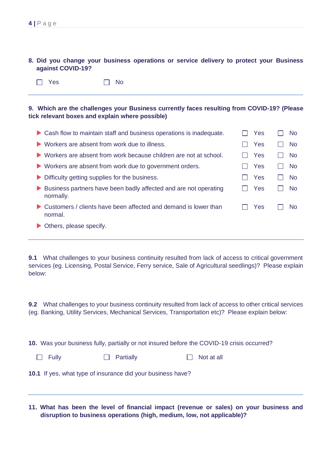### **8. Did you change your business operations or service delivery to protect your Business against COVID-19?**

 $\Box$  Yes  $\Box$  No

### **9. Which are the challenges your Business currently faces resulting from COVID-19? (Please tick relevant boxes and explain where possible)**

| Cash flow to maintain staff and business operations is inadequate.                | Yes | <b>No</b>      |
|-----------------------------------------------------------------------------------|-----|----------------|
| Workers are absent from work due to illness.                                      | Yes | <b>No</b>      |
| $\triangleright$ Workers are absent from work because children are not at school. | Yes | No.            |
| $\triangleright$ Workers are absent from work due to government orders.           | Yes | N <sub>o</sub> |
| Difficulty getting supplies for the business.<br>$\blacktriangleright$            | Yes | N <sub>o</sub> |
| Business partners have been badly affected and are not operating<br>normally.     | Yes | <b>No</b>      |
| Customers / clients have been affected and demand is lower than<br>normal.        | Yes | <b>No</b>      |
| Others, please specify.                                                           |     |                |

**9.1** What challenges to your business continuity resulted from lack of access to critical government services (eg. Licensing, Postal Service, Ferry service, Sale of Agricultural seedlings)? Please explain below:

**9.2** What challenges to your business continuity resulted from lack of access to other critical services (eg. Banking, Utility Services, Mechanical Services, Transportation etc)? Please explain below:

**10.** Was your business fully, partially or not insured before the COVID-19 crisis occurred?

| $\Box$ Fully | $\Box$ Partially | $\Box$ Not at all |
|--------------|------------------|-------------------|
|              |                  |                   |

**10.1** If yes, what type of insurance did your business have?

**11. What has been the level of financial impact (revenue or sales) on your business and disruption to business operations (high, medium, low, not applicable)?**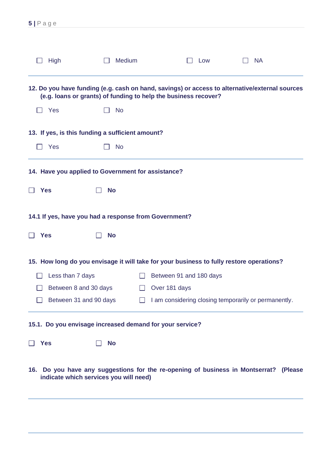| 5 Page                                                   |                               |                                                                                          |                                                                                                |  |
|----------------------------------------------------------|-------------------------------|------------------------------------------------------------------------------------------|------------------------------------------------------------------------------------------------|--|
|                                                          |                               |                                                                                          |                                                                                                |  |
| <b>High</b>                                              | <b>Medium</b><br>$\mathbf{I}$ | Low                                                                                      | <b>NA</b><br>$\blacksquare$                                                                    |  |
|                                                          |                               | (e.g. loans or grants) of funding to help the business recover?                          | 12. Do you have funding (e.g. cash on hand, savings) or access to alternative/external sources |  |
| $\Box$ Yes                                               | <b>No</b>                     |                                                                                          |                                                                                                |  |
| 13. If yes, is this funding a sufficient amount?         |                               |                                                                                          |                                                                                                |  |
| Yes                                                      | <b>No</b>                     |                                                                                          |                                                                                                |  |
| 14. Have you applied to Government for assistance?       |                               |                                                                                          |                                                                                                |  |
| <b>Yes</b>                                               | <b>No</b>                     |                                                                                          |                                                                                                |  |
| 14.1 If yes, have you had a response from Government?    |                               |                                                                                          |                                                                                                |  |
| <b>Yes</b>                                               | <b>No</b>                     |                                                                                          |                                                                                                |  |
|                                                          |                               | 15. How long do you envisage it will take for your business to fully restore operations? |                                                                                                |  |
| Less than 7 days                                         |                               | Between 91 and 180 days                                                                  |                                                                                                |  |
| Between 8 and 30 days                                    |                               | Over 181 days                                                                            |                                                                                                |  |
| Between 31 and 90 days                                   |                               |                                                                                          | I am considering closing temporarily or permanently.                                           |  |
| 15.1. Do you envisage increased demand for your service? |                               |                                                                                          |                                                                                                |  |
| <b>Yes</b>                                               | <b>No</b>                     |                                                                                          |                                                                                                |  |
| indicate which services you will need)                   |                               |                                                                                          | 16. Do you have any suggestions for the re-opening of business in Montserrat? (Please          |  |